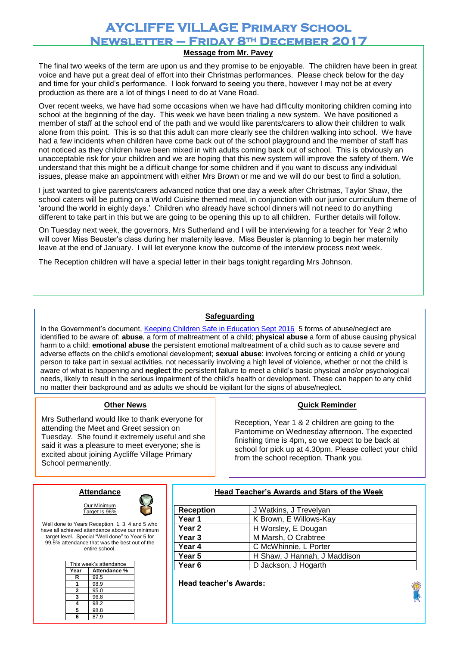# **AYCLIFFE VILLAGE Primary School Newsletter – Friday 8th December 2017**

## **Message from Mr. Pavey**

The final two weeks of the term are upon us and they promise to be enjoyable. The children have been in great voice and have put a great deal of effort into their Christmas performances. Please check below for the day and time for your child's performance. I look forward to seeing you there, however I may not be at every production as there are a lot of things I need to do at Vane Road.

Over recent weeks, we have had some occasions when we have had difficulty monitoring children coming into school at the beginning of the day. This week we have been trialing a new system. We have positioned a member of staff at the school end of the path and we would like parents/carers to allow their children to walk alone from this point. This is so that this adult can more clearly see the children walking into school. We have had a few incidents when children have come back out of the school playground and the member of staff has not noticed as they children have been mixed in with adults coming back out of school. This is obviously an unacceptable risk for your children and we are hoping that this new system will improve the safety of them. We understand that this might be a difficult change for some children and if you want to discuss any individual issues, please make an appointment with either Mrs Brown or me and we will do our best to find a solution,

I just wanted to give parents/carers advanced notice that one day a week after Christmas, Taylor Shaw, the school caters will be putting on a World Cuisine themed meal, in conjunction with our junior curriculum theme of 'around the world in eighty days.' Children who already have school dinners will not need to do anything different to take part in this but we are going to be opening this up to all children. Further details will follow.

On Tuesday next week, the governors, Mrs Sutherland and I will be interviewing for a teacher for Year 2 who will cover Miss Beuster's class during her maternity leave. Miss Beuster is planning to begin her maternity leave at the end of January. I will let everyone know the outcome of the interview process next week.

The Reception children will have a special letter in their bags tonight regarding Mrs Johnson.

#### **Safeguarding**

In the Government's document[, Keeping Children Safe in Education Sept 2016](https://www.gov.uk/government/publications/keeping-children-safe-in-education--2) 5 forms of abuse/neglect are identified to be aware of: **abuse**, a form of maltreatment of a child; **physical abuse** a form of abuse causing physical harm to a child; **emotional abuse** the persistent emotional maltreatment of a child such as to cause severe and adverse effects on the child's emotional development; **sexual abuse**: involves forcing or enticing a child or young person to take part in sexual activities, not necessarily involving a high level of violence, whether or not the child is aware of what is happening and **neglect** the persistent failure to meet a child's basic physical and/or psychological needs, likely to result in the serious impairment of the child's health or development. These can happen to any child no matter their background and as adults we should be vigilant for the signs of abuse/neglect.

#### **Other News**

Mrs Sutherland would like to thank everyone for attending the Meet and Greet session on Tuesday. She found it extremely useful and she said it was a pleasure to meet everyone; she is excited about joining Aycliffe Village Primary School permanently.

#### **Property Reminder Service Service Service Service Service Service Service Service Service Service Service Servi**

Reception, Year 1 & 2 children are going to the Pantomime on Wednesday afternoon. The expected finishing time is 4pm, so we expect to be back at school for pick up at 4.30pm. Please collect your child from the school reception. Thank you.

## **Attendance**  Our Minimum



Well done to Years Reception, 1, 3, 4 and 5 who have all achieved attendance above our minimum target level. Special "Well done" to Year 5 for 99.5% attendance that was the best out of the entire school.

Target Is 96%

| This week's attendance |              |
|------------------------|--------------|
| Year                   | Attendance % |
| R                      | 99.5         |
|                        | 98.9         |
| 2                      | 95.0         |
| 3                      | 96.8         |
| 4                      | 98.2         |
| 5                      | 98.8         |
| R                      | 87.9         |

**Head Teacher's Awards and Stars of the Week**

| <b>Reception</b>  | J Watkins, J Trevelyan       |
|-------------------|------------------------------|
| Year 1            | K Brown, E Willows-Kay       |
| Year 2            | H Worsley, E Dougan          |
| Year 3            | M Marsh, O Crabtree          |
| Year 4            | C McWhinnie, L Porter        |
| Year 5            | H Shaw, J Hannah, J Maddison |
| Year <sub>6</sub> | D Jackson, J Hogarth         |

**Head teacher's Awards:**